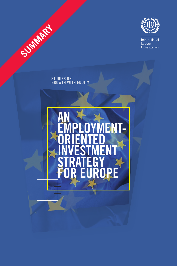

International<br>Labour<br>Organization

### **Studies ON GROWTH WITH EQUITY**

Summary

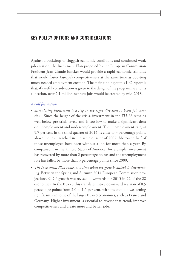# **Key policy options and considerations**

Against a backdrop of sluggish economic conditions and continued weak job creation, the Investment Plan proposed by the European Commission President Jean-Claude Juncker would provide a rapid economic stimulus that would foster Europe's competitiveness at the same time as boosting much-needed employment creation. The main finding of this ILO report is that, if careful consideration is given to the design of the programme and its allocation, over 2.1 million net new jobs would be created by mid-2018.

#### *A call for action*

- • *Stimulating investment is a step in the right direction to boost job creation.* Since the height of the crisis, investment in the EU-28 remains well below pre-crisis levels and is too low to make a significant dent on unemployment and under-employment. The unemployment rate, at 9.7 per cent in the third quarter of 2014, is close to 3 percentage points above the level reached in the same quarter of 2007. Moreover, half of those unemployed have been without a job for more than a year. By comparison, in the United States of America, for example, investment has recovered by more than 2 percentage points and the unemployment rate has fallen by more than 3 percentage points since 2009.
- The Investment Plan comes at a time when the growth outlook is deteriorat*ing.* Between the Spring and Autumn 2014 European Commission projections, GDP growth was revised downwards for 2015 in 22 of the 28 economies. In the EU-28 this translates into a downward revision of 0.5 percentage points from 2.0 to 1.5 per cent, with the outlook weakening significantly in some of the larger EU-28 economies, such as France and Germany. Higher investment is essential to reverse that trend, improve competitiveness and create more and better jobs.